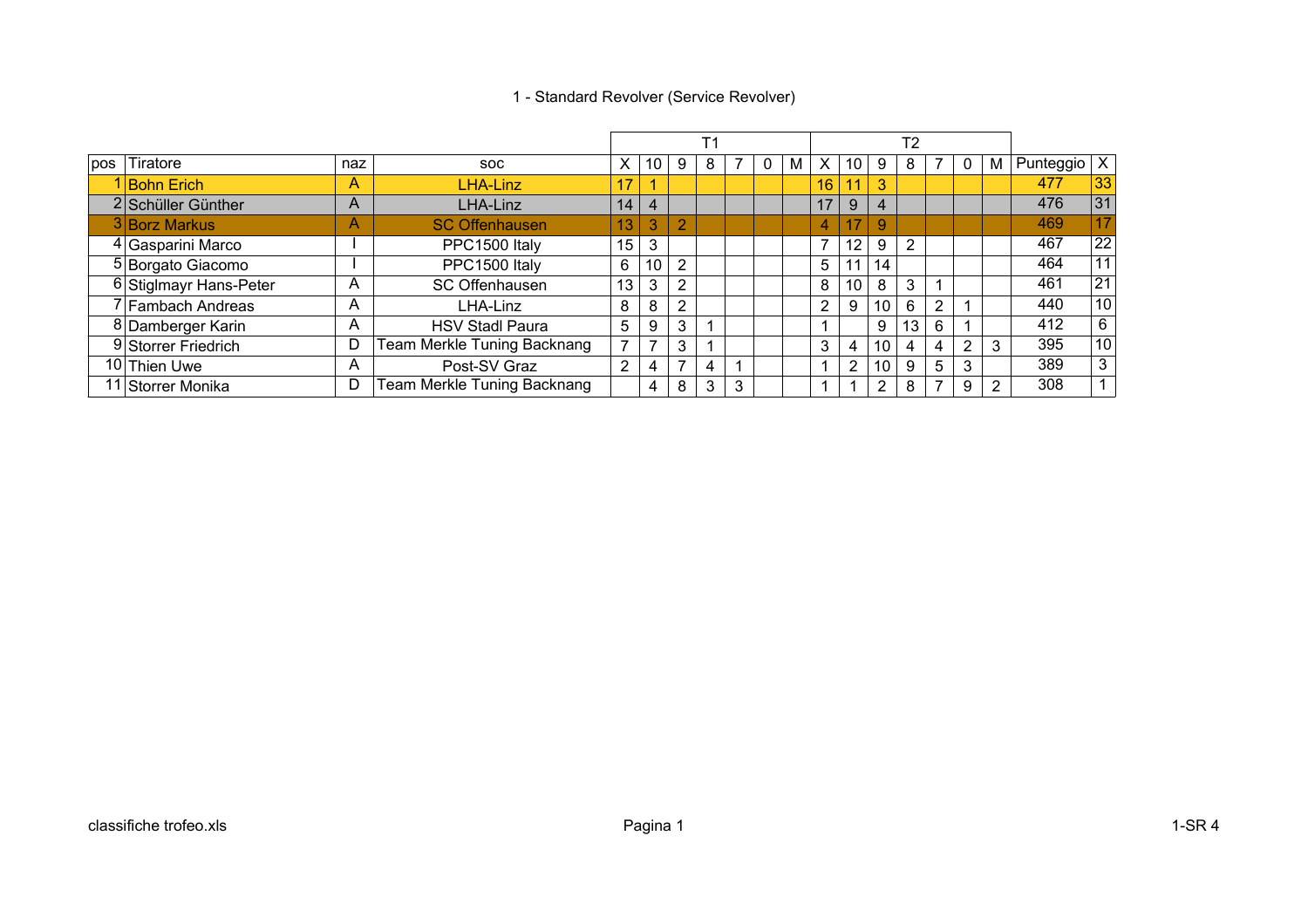### 1 - Standard Revolver (Service Revolver)

|                        |     |                             |                |                |                | T1 |                |   |   |                |                 |                 | T <sub>2</sub> |   |                 |   |                     |                 |
|------------------------|-----|-----------------------------|----------------|----------------|----------------|----|----------------|---|---|----------------|-----------------|-----------------|----------------|---|-----------------|---|---------------------|-----------------|
| Tiratore               | naz | <b>SOC</b>                  | X              | 10             | 9              | 8  | $\overline{7}$ | 0 | M | X              | 10              | 9               | 8              |   | 0               | M | Punteggio $\vert$ X |                 |
| <b>Bohn Erich</b>      | A   | <b>LHA-Linz</b>             | 17             |                |                |    |                |   |   | 16             | 11              | 3               |                |   |                 |   | 477                 | 33              |
| 2 Schüller Günther     | A   | LHA-Linz                    | 14             | $\overline{4}$ |                |    |                |   |   | 17             | 9               | 4               |                |   |                 |   | 476                 | 31              |
| 3 Borz Markus          | A   | <b>SC Offenhausen</b>       | 13             | 3              | $\overline{2}$ |    |                |   |   | 4              | 17              | 9               |                |   |                 |   | 469                 | 17              |
| 4 Gasparini Marco      |     | PPC1500 Italy               | 15             | 3              |                |    |                |   |   | 7              | 12 <sup>2</sup> | 9               | $\overline{2}$ |   |                 |   | 467                 | $\overline{22}$ |
| 5 Borgato Giacomo      |     | PPC1500 Italy               | 6              | 10             | $\overline{2}$ |    |                |   |   | 5              |                 | 14              |                |   |                 |   | 464                 | 11              |
| 6 Stiglmayr Hans-Peter | A   | SC Offenhausen              | 13             | 3              | $\overline{2}$ |    |                |   |   | 8              | 10              | 8               | 3              |   |                 |   | 461                 | 21              |
| 7 Fambach Andreas      | A   | LHA-Linz                    | 8              | 8              | $\overline{2}$ |    |                |   |   | $\overline{2}$ | 9               | 10 <sup>°</sup> | 6              | ົ |                 |   | 440                 | 10              |
| 8 Damberger Karin      | A   | <b>HSV Stadl Paura</b>      | 5              | 9              | 3              |    |                |   |   |                |                 | 9               |                | 6 |                 |   | 412                 | 6               |
| 9 Storrer Friedrich    | D   | Team Merkle Tuning Backnang | $\overline{ }$ |                | 3              |    |                |   |   | 3              | 4               | 10              | 4              | 4 | 2               | 3 | 395                 | 10              |
| 10 Thien Uwe           | A   | Post-SV Graz                | $\overline{2}$ | 4              | $\overline{ }$ | 4  |                |   |   |                | $\overline{2}$  | 10 <sup>1</sup> | 9              | 5 | 3               |   | 389                 | 3               |
| 11 Storrer Monika      | D   | Team Merkle Tuning Backnang |                | 4              | 8              | 3  | 3              |   |   |                |                 | $\overline{2}$  | 8              |   | 9               | 2 | 308                 |                 |
|                        |     |                             |                |                |                |    |                |   |   |                |                 |                 |                |   | 13 <sub>1</sub> |   |                     |                 |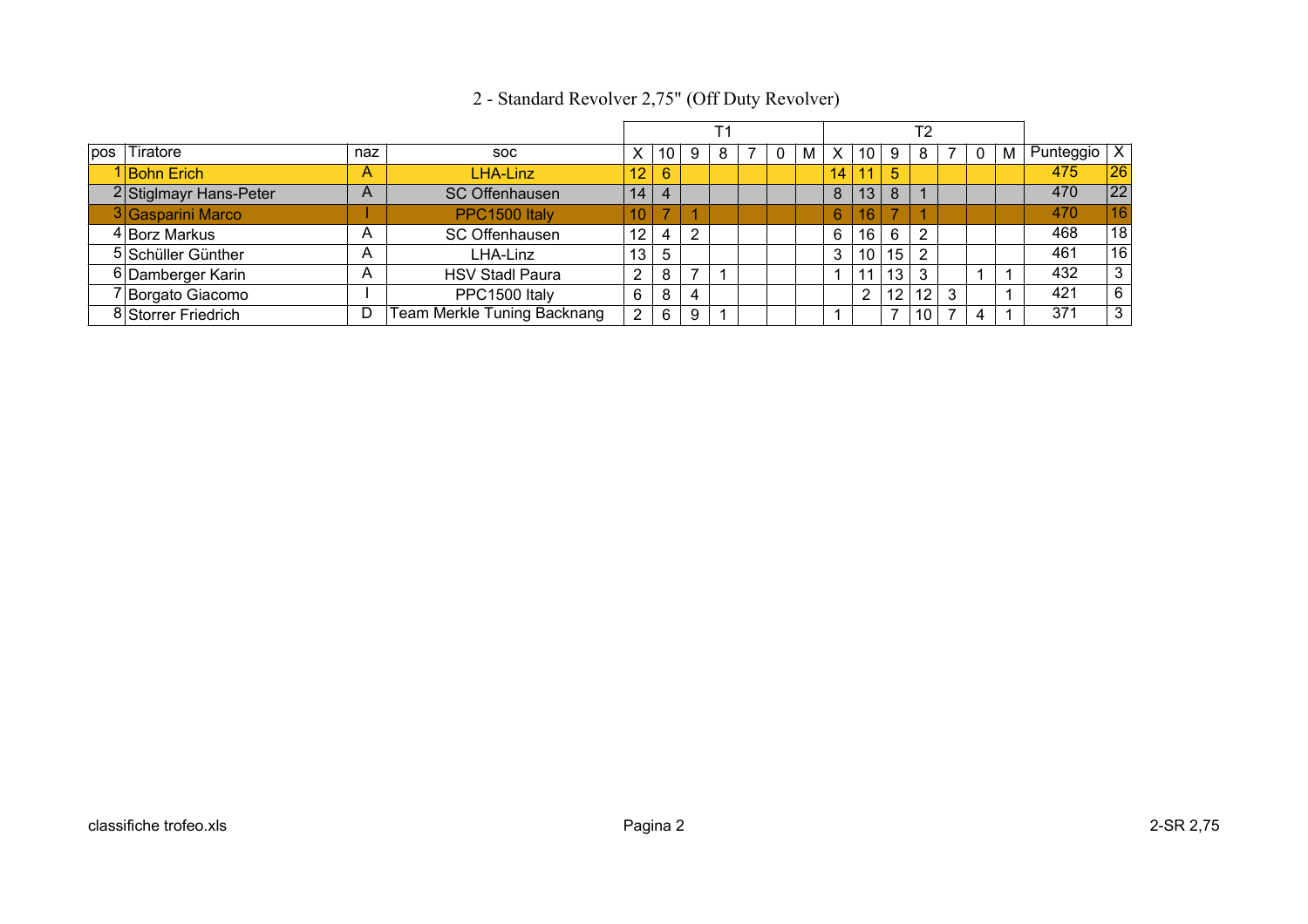|     |                        |     |                                    |                 |                          |   | Τ1 |  |   |    |                 |                 | Т2              |  |   |                 |              |
|-----|------------------------|-----|------------------------------------|-----------------|--------------------------|---|----|--|---|----|-----------------|-----------------|-----------------|--|---|-----------------|--------------|
| pos | <b>Tiratore</b>        | naz | SOC.                               | X               | 10                       | 9 | 8  |  | М | X  | 10 <sub>1</sub> |                 | 8               |  | м | Punteggio $ X $ |              |
|     | 1 Bohn Erich           | A   | <b>LHA-Linz</b>                    | 12              | 6                        |   |    |  |   | 14 | 11              | $\sqrt{5}$      |                 |  |   | 475             | 26           |
|     | 2 Stiglmayr Hans-Peter | A   | <b>SC Offenhausen</b>              | 14              | $\overline{4}$           |   |    |  |   | 8  | 13              | 8               |                 |  |   | 470             | 22           |
|     | 3 Gasparini Marco      |     | PPC1500 Italy                      | 10 <sup>1</sup> | $\overline{\phantom{a}}$ |   |    |  |   | 6  | 16\             |                 |                 |  |   | 470             | 16           |
|     | 4 Borz Markus          | A   | SC Offenhausen                     | 12              | 4                        | ົ |    |  |   | 6  | 16              | 6               | $\mathcal{P}$   |  |   | 468             | 18           |
|     | 5 Schüller Günther     | Α   | LHA-Linz                           | 13              | 5                        |   |    |  |   | 3  | 10 <sup>1</sup> | 15 <sup>1</sup> | 2               |  |   | 461             | 16           |
|     | 6 Damberger Karin      | Α   | <b>HSV Stadl Paura</b>             | $\overline{2}$  | 8                        | ⇁ |    |  |   |    | 11              | 13 <sub>1</sub> |                 |  |   | 432             | $\mathbf{3}$ |
|     | 7 Borgato Giacomo      |     | PPC1500 Italy                      | 6               | 8                        | 4 |    |  |   |    | っ               | 12 <sub>1</sub> | 12 <sup>°</sup> |  |   | 421             | 6            |
|     | 8 Storrer Friedrich    | D   | <b>Team Merkle Tuning Backnang</b> | $\overline{2}$  | 6                        | 9 |    |  |   |    |                 |                 | 10              |  |   | 371             | 3            |

# 2 - Standard Revolver 2,75" (Off Duty Revolver)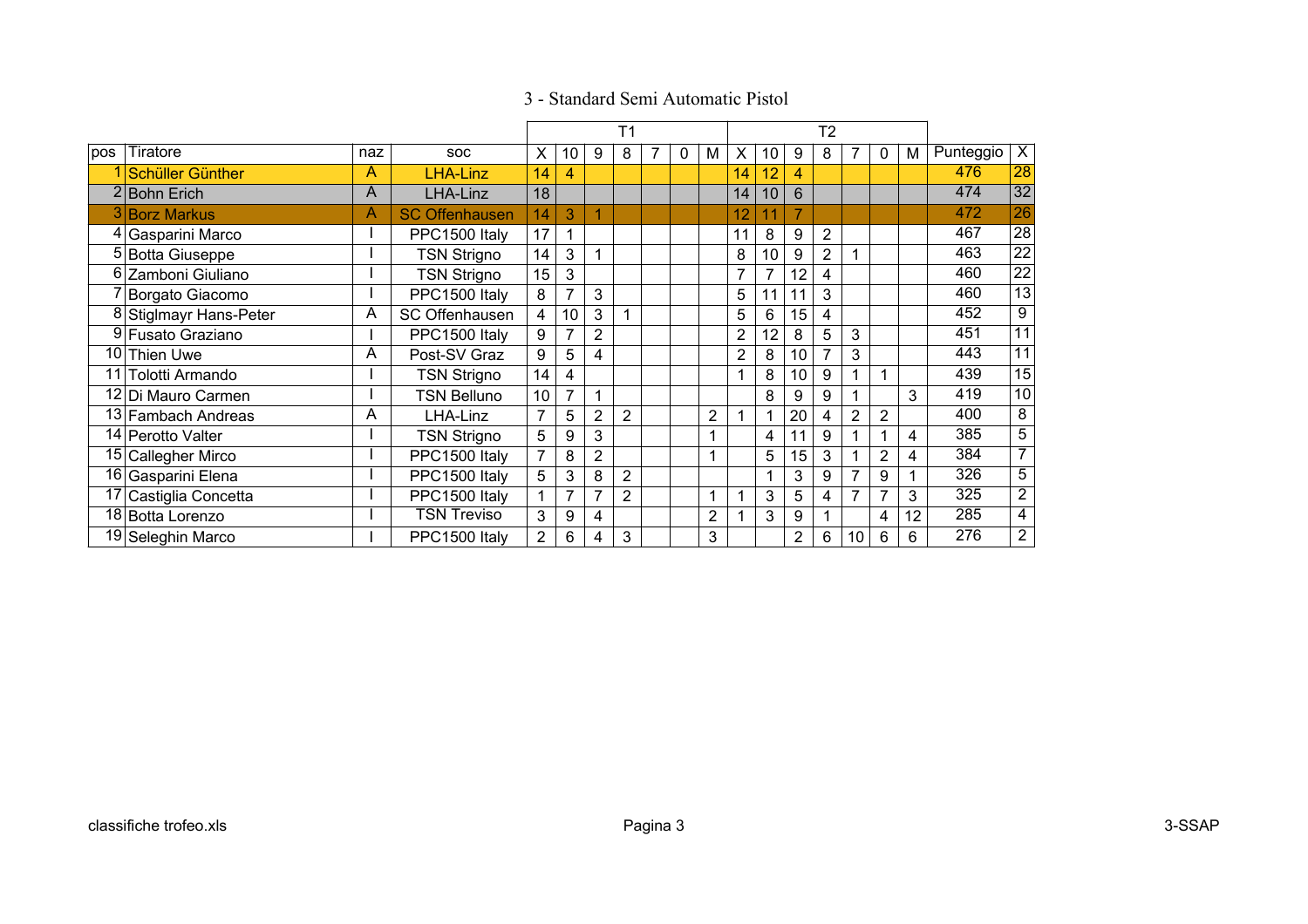|     |                        |     |                       |                |    |                | T <sub>1</sub> |   |                |                |    |                | T2 |                |                |    |           |                   |
|-----|------------------------|-----|-----------------------|----------------|----|----------------|----------------|---|----------------|----------------|----|----------------|----|----------------|----------------|----|-----------|-------------------|
| pos | Tiratore               | naz | <b>SOC</b>            | X.             | 10 | 9              | 8              | 0 | М              | X              | 10 | 9              | 8  |                | $\mathbf{0}$   | M  | Punteggio | $\overline{X}$    |
|     | Schüller Günther       | Α   | <b>LHA-Linz</b>       | 14             | 4  |                |                |   |                | 14             | 12 | 4              |    |                |                |    | 476       | 28                |
|     | 2 Bohn Erich           | A   | LHA-Linz              | 18             |    |                |                |   |                | 14             | 10 | 6              |    |                |                |    | 474       | 32                |
|     | <b>Borz Markus</b>     | Α   | <b>SC Offenhausen</b> | 14             | 3  |                |                |   |                | 12             | 11 | $\overline{7}$ |    |                |                |    | 472       | 26                |
|     | 4 Gasparini Marco      |     | PPC1500 Italy         | 17             | 1  |                |                |   |                | 11             | 8  | 9              | 2  |                |                |    | 467       | 28                |
|     | 5 Botta Giuseppe       |     | <b>TSN Strigno</b>    | 14             | 3  |                |                |   |                | 8              | 10 | 9              | 2  |                |                |    | 463       | 22                |
|     | 6 Zamboni Giuliano     |     | <b>TSN Strigno</b>    | 15             | 3  |                |                |   |                | 7              |    | 12             | 4  |                |                |    | 460       | $22 \overline{)}$ |
|     | Borgato Giacomo        |     | PPC1500 Italy         | 8              | 7  | 3              |                |   |                | 5              | 11 | 11             | 3  |                |                |    | 460       | 13                |
|     | 8 Stiglmayr Hans-Peter | A   | <b>SC Offenhausen</b> | 4              | 10 | 3              |                |   |                | 5              | 6  | 15             | 4  |                |                |    | 452       | 9                 |
|     | 9 Fusato Graziano      |     | PPC1500 Italy         | 9              | 7  | $\overline{2}$ |                |   |                | $\overline{2}$ | 12 | 8              | 5  | 3              |                |    | 451       | 11                |
| 10  | <b>Thien Uwe</b>       | A   | Post-SV Graz          | 9              | 5  | 4              |                |   |                | $\overline{2}$ | 8  | 10             | 7  | 3              |                |    | 443       | 11                |
| 11  | Tolotti Armando        |     | <b>TSN Strigno</b>    | 14             | 4  |                |                |   |                | 1              | 8  | 10             | 9  |                |                |    | 439       | 15                |
|     | 12 Di Mauro Carmen     |     | <b>TSN Belluno</b>    | 10             | 7  |                |                |   |                |                | 8  | 9              | 9  |                |                | 3  | 419       | 10                |
|     | 13 Fambach Andreas     | A   | LHA-Linz              | $\overline{7}$ | 5  | $\overline{2}$ | $\overline{2}$ |   | $\overline{2}$ |                |    | 20             | 4  | $\overline{2}$ | $\overline{2}$ |    | 400       | 8                 |
|     | 14   Perotto Valter    |     | <b>TSN Strigno</b>    | 5              | 9  | 3              |                |   |                |                | 4  | 11             | 9  |                |                | 4  | 385       | 5                 |
|     | 15 Callegher Mirco     |     | PPC1500 Italy         | $\overline{7}$ | 8  | $\overline{2}$ |                |   |                |                | 5  | 15             | 3  |                | 2              | 4  | 384       | $\overline{7}$    |
|     | 16 Gasparini Elena     |     | PPC1500 Italy         | 5              | 3  | 8              | $\overline{2}$ |   |                |                |    | 3              | 9  |                | 9              |    | 326       | $\overline{5}$    |
|     | 17 Castiglia Concetta  |     | PPC1500 Italy         |                | 7  | 7              | $\overline{2}$ |   |                |                | 3  | 5              | 4  | 7              |                | 3  | 325       | $\overline{2}$    |
|     | 18 Botta Lorenzo       |     | <b>TSN Treviso</b>    | 3              | 9  | 4              |                |   | $\overline{2}$ |                | 3  | 9              |    |                | 4              | 12 | 285       | $\overline{4}$    |
|     | 19 Seleghin Marco      |     | PPC1500 Italy         | $\overline{2}$ | 6  | 4              | 3              |   | 3              |                |    | 2              | 6  | 10             | 6              | 6  | 276       | 2 <sup>1</sup>    |

## 3 - Standard Semi Automatic Pistol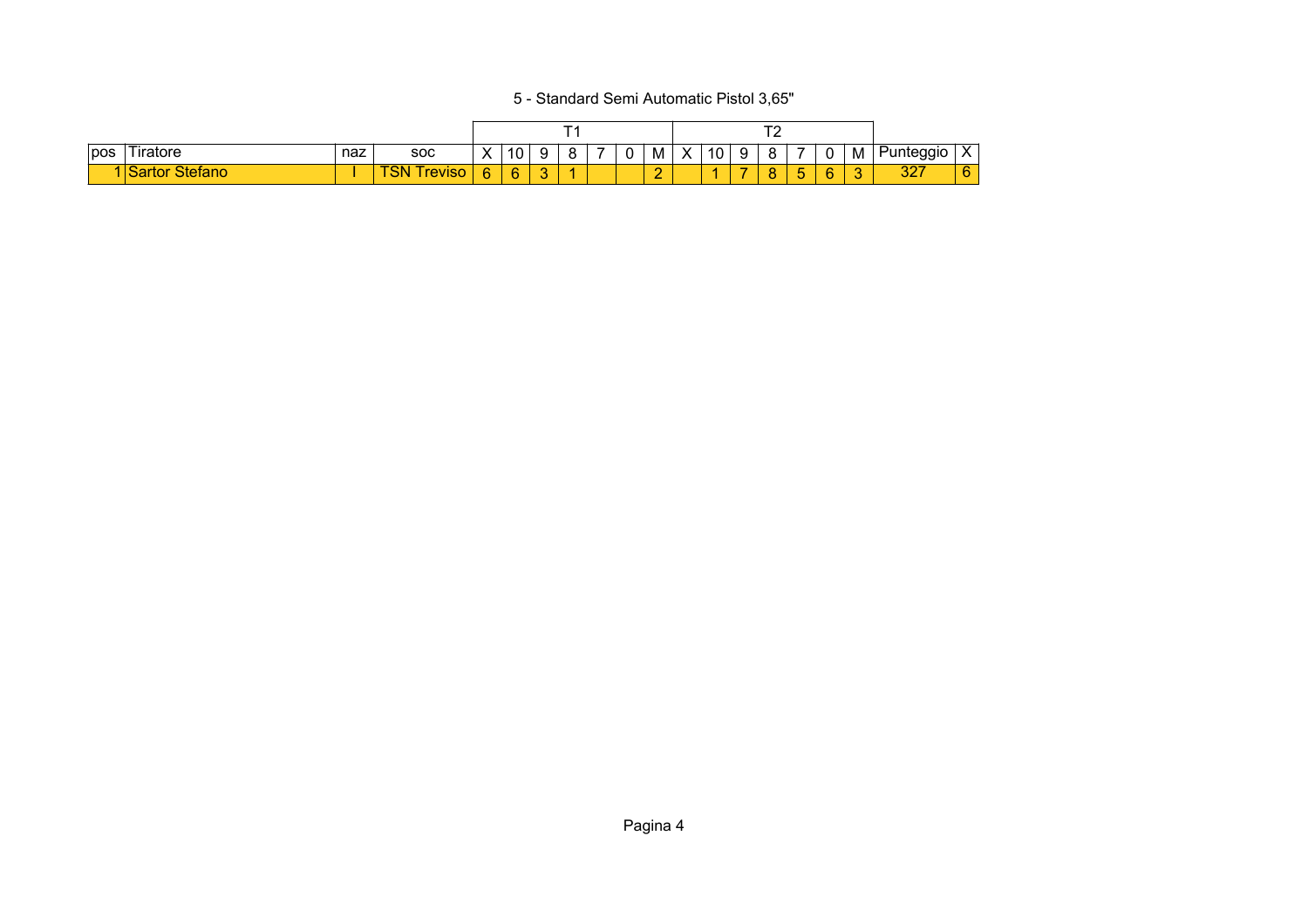5 - Standard Semi Automatic Pistol 3,65"

| pos | 'Tiratore | naz | <b>SOC</b>   | $\sqrt{}$<br>$\mathbf{\Lambda}$ | 10     |   |  | υ | M      | $\checkmark$<br>ᄉ | 10 | a<br>c |   | U  | M | unteggio    | $\mathbf v$<br>$\Lambda$ |
|-----|-----------|-----|--------------|---------------------------------|--------|---|--|---|--------|-------------------|----|--------|---|----|---|-------------|--------------------------|
|     | τor       |     | revis<br>o١٧ | ь                               | Q<br>÷ | ີ |  |   | $\sim$ |                   |    |        | - | c. |   | 007<br>ا ےت | 6                        |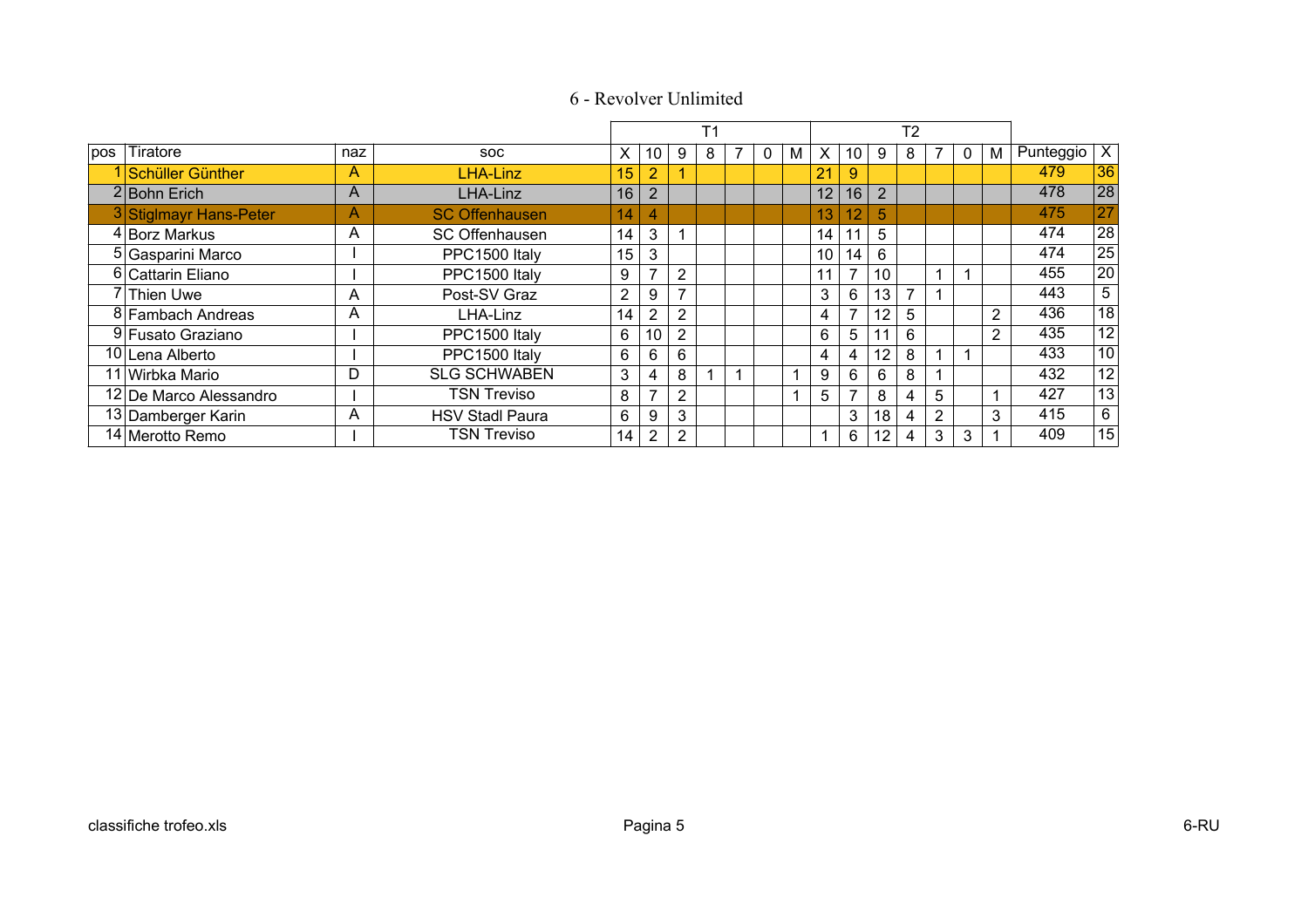|     |                        |     |                        |                |                |                | T <sub>1</sub> |   |              |                |          |                 |                 | T <sub>2</sub> |                |          |                |                 |                 |
|-----|------------------------|-----|------------------------|----------------|----------------|----------------|----------------|---|--------------|----------------|----------|-----------------|-----------------|----------------|----------------|----------|----------------|-----------------|-----------------|
| pos | Tiratore               | naz | <b>SOC</b>             | X              | 10             | 9              | 8              | 7 | $\mathbf{0}$ | M              | $\times$ | 10              | 9               | 8.             |                | $\Omega$ | M              | Punteggio $ X $ |                 |
|     | 1 Schüller Günther     | Α   | LHA-Linz               | 15             | $\overline{2}$ | 4              |                |   |              |                | 21       | 9               |                 |                |                |          |                | 479             | 36              |
|     | $2$ <b>Bohn Erich</b>  | A   | LHA-Linz               | 16             | $\overline{2}$ |                |                |   |              |                | 12       | 16              | $\overline{2}$  |                |                |          |                | 478             | 28              |
|     | 3 Stiglmayr Hans-Peter | A   | <b>SC Offenhausen</b>  | 14             | 4              |                |                |   |              |                | 13       | $\overline{12}$ | 5               |                |                |          |                | 475             | 27              |
|     | 4 Borz Markus          | Α   | SC Offenhausen         | 14             | 3              |                |                |   |              |                | 14       | 11              | 5               |                |                |          |                | 474             | 28              |
|     | 5 Gasparini Marco      |     | PPC1500 Italy          | 15             | 3              |                |                |   |              |                | 10       | 14              | 6               |                |                |          |                | 474             | 25              |
|     | 6 Cattarin Eliano      |     | PPC1500 Italy          | 9              | 7              | 2              |                |   |              |                | 11       | 7               | 10              |                |                |          |                | 455             | 20              |
|     | 7 Thien Uwe            | A   | Post-SV Graz           | $\overline{2}$ | 9              | $\overline{ }$ |                |   |              |                | 3        | 6               | 13 <sub>1</sub> |                |                |          |                | 443             | 5               |
|     | 8 Fambach Andreas      | A   | LHA-Linz               | 14             | $\overline{2}$ | $\overline{2}$ |                |   |              |                | 4        | 7               | 12              | 5.             |                |          | $\overline{2}$ | 436             | $\overline{18}$ |
|     | 9 Fusato Graziano      |     | PPC1500 Italy          | 6              | 10             | $\overline{2}$ |                |   |              |                | 6        | 5               |                 | 6              |                |          | $\overline{2}$ | 435             | $\overline{12}$ |
|     | 10 Lena Alberto        |     | PPC1500 Italy          | 6              | 6              | 6              |                |   |              |                | 4        | 4               | 12              | 8              |                |          |                | 433             | 10              |
|     | 11 Wirbka Mario        | D   | <b>SLG SCHWABEN</b>    | 3              | 4              | 8              | и              |   |              | $\overline{ }$ | 9        | 6               | 6               | 8              |                |          |                | 432             | 12              |
|     | 12 De Marco Alessandro |     | <b>TSN Treviso</b>     | 8              | $\overline{ }$ | $\overline{2}$ |                |   |              |                | 5        |                 | 8               | 4              | 5              |          |                | 427             | 13              |
|     | 13 Damberger Karin     | A   | <b>HSV Stadl Paura</b> | 6              | 9              | 3              |                |   |              |                |          | 3               | 18              | 4              | $\overline{2}$ |          | 3              | 415             | $6\overline{6}$ |
|     | 14 Merotto Remo        |     | <b>TSN Treviso</b>     | 14             | $\overline{2}$ | 2              |                |   |              |                | и        | 6               | 12              | 4              | 3              | 3        |                | 409             | 15              |

# 6 - Revolver Unlimited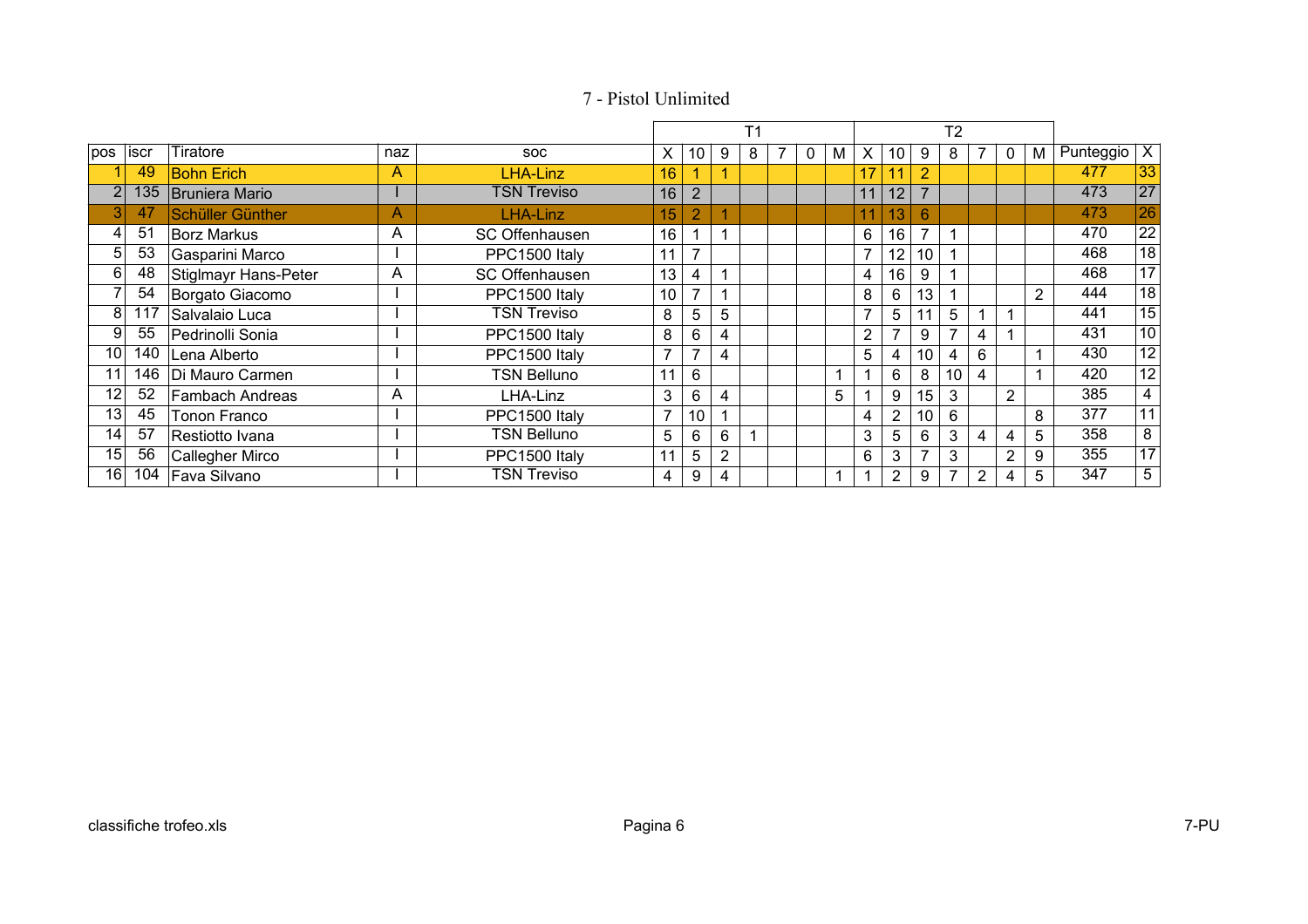|                 |       |                        |     |                       |                |                |                | T <sub>1</sub> |   |   |                |                |                | T <sub>2</sub> |   |                |   |                          |                 |
|-----------------|-------|------------------------|-----|-----------------------|----------------|----------------|----------------|----------------|---|---|----------------|----------------|----------------|----------------|---|----------------|---|--------------------------|-----------------|
| pos             | ∣iscr | Tiratore               | naz | <b>SOC</b>            | x              | 10             | 9              | 8              | 0 | M | X              | 10             | 9              | 8              |   | 0              | M | Punteggio $\overline{X}$ |                 |
|                 | 49    | <b>Bohn Erich</b>      | A   | LHA-Linz              | 16             |                |                |                |   |   | 17             |                | $\overline{2}$ |                |   |                |   | 477                      | 33              |
|                 | 135   | Bruniera Mario         |     | <b>TSN Treviso</b>    | 16             | 2              |                |                |   |   | 11             | 12             | $\overline{7}$ |                |   |                |   | 473                      | 27              |
|                 | 47    | Schüller Günther       | Α   | LHA-Linz              | 15             | $\overline{2}$ |                |                |   |   | 11             | 13             | 6              |                |   |                |   | 473                      | 26              |
| $\vert 4 \vert$ | 51    | <b>Borz Markus</b>     | A   | <b>SC Offenhausen</b> | 16             |                |                |                |   |   | 6              | 16             | 7              |                |   |                |   | 470                      | $\overline{22}$ |
| 5 <sup>1</sup>  | 53    | Gasparini Marco        |     | PPC1500 Italy         | 11             |                |                |                |   |   | 7              | 12             | 10             |                |   |                |   | 468                      | 18              |
| 6               | 48    | Stiglmayr Hans-Peter   | A   | SC Offenhausen        | 13             | 4              |                |                |   |   | 4              | 16             | 9              |                |   |                |   | 468                      | 17              |
|                 | 54    | Borgato Giacomo        |     | PPC1500 Italy         | 10             |                |                |                |   |   | 8              | 6              | 13             |                |   |                | 2 | 444                      | $\overline{18}$ |
| 8               | 117   | Salvalaio Luca         |     | <b>TSN Treviso</b>    | 8              | 5              | 5              |                |   |   | $\overline{7}$ | 5              | 11             | 5              |   |                |   | 441                      | $\overline{15}$ |
| 9               | 55    | Pedrinolli Sonia       |     | PPC1500 Italy         | 8              | 6              | 4              |                |   |   | 2              | 7              | 9              | $\overline{ }$ | 4 |                |   | 431                      | $\overline{10}$ |
| 10              | 140   | Lena Alberto           |     | PPC1500 Italy         | $\overline{7}$ | 7              | 4              |                |   |   | 5              | 4              | 10             | 4              | 6 |                |   | 430                      | $\overline{12}$ |
| 11              | 146   | Di Mauro Carmen        |     | TSN Belluno           | 11             | 6              |                |                |   | 1 |                | 6              | 8              | 10             | 4 |                |   | 420                      | $\overline{12}$ |
| 12              | 52    | <b>Fambach Andreas</b> | A   | LHA-Linz              | 3              | 6              | 4              |                |   | 5 |                | 9              | 15             | 3              |   | $\overline{2}$ |   | 385                      | 4               |
| 13              | 45    | Tonon Franco           |     | PPC1500 Italy         | 7              | 10             |                |                |   |   | 4              | $\overline{2}$ | 10             | 6              |   |                | 8 | 377                      | $\overline{11}$ |
| 14              | 57    | Restiotto Ivana        |     | TSN Belluno           | 5              | 6              | 6              |                |   |   | 3              | 5              | 6              | 3              | 4 | 4              | 5 | 358                      | $\overline{8}$  |
| 15              | 56    | Callegher Mirco        |     | PPC1500 Italy         | 11             | 5              | $\overline{2}$ |                |   |   | 6              | 3              | $\overline{ }$ | 3              |   | 2              | 9 | 355                      | $\overline{17}$ |
| 16              | 104   | Fava Silvano           |     | TSN Treviso           | 4              | 9              | 4              |                |   | 1 |                | 2              | 9              |                | 2 | 4              | 5 | 347                      | $\overline{5}$  |

## 7 - Pistol Unlimited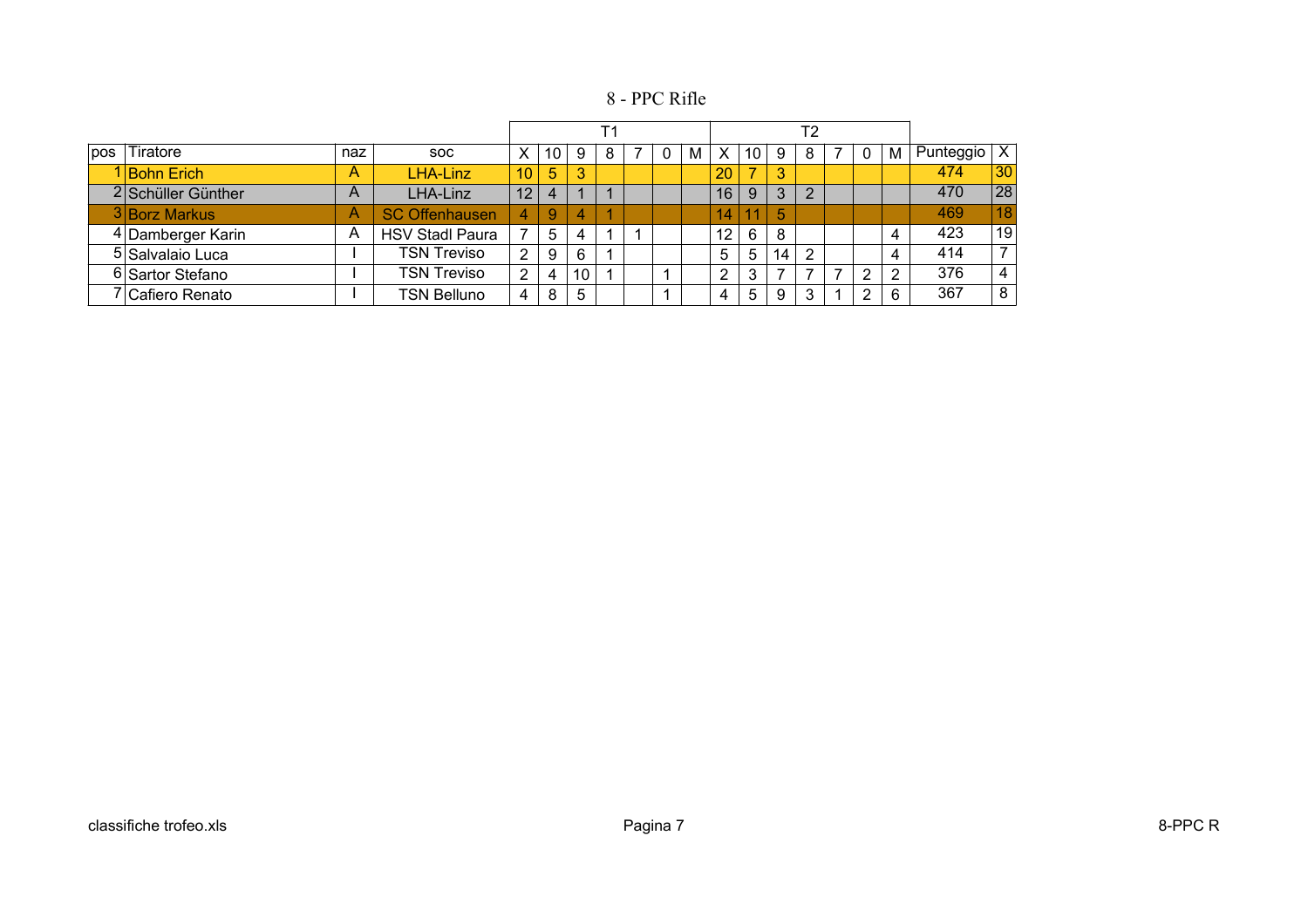8 - PPC Rifle

|     |                             |     |                        |                 |    |    |   |  |   |    |    |    | Т2 |   |   |           |                 |
|-----|-----------------------------|-----|------------------------|-----------------|----|----|---|--|---|----|----|----|----|---|---|-----------|-----------------|
| pos | Tiratore                    | naz | <b>SOC</b>             | X               | 10 | 9  | 8 |  | М | X  | 10 | 9  | 8  | 0 | M | Punteggio | х               |
|     | I Bohn Erich                | А   | LHA-Linz               | 10              | 5  | 3  |   |  |   | 20 | 7  | 3  |    |   |   | 474       | 30              |
|     | 2 Schüller Günther          | A   | LHA-Linz               | 12              | 4  |    |   |  |   | 16 | 9  | 3  | っ  |   |   | 470       | $\overline{28}$ |
|     | 3 Borz Markus               | Α   | <b>SC Offenhausen</b>  | $\vert 4 \vert$ | 9  | 4  |   |  |   | 14 | 11 | 5  |    |   |   | 469       | 18              |
|     | 4 Damberger Karin           | Α   | <b>HSV Stadl Paura</b> | ⇁               | 5  | 4  |   |  |   | 12 | 6  | 8  |    |   | 4 | 423       | 19              |
|     | 5 Salvalaio Luca            |     | <b>TSN Treviso</b>     | $\overline{2}$  | 9  | 6  |   |  |   | 5  | 5  | 14 | っ  |   | 4 | 414       |                 |
|     | 6 Sartor Stefano            |     | <b>TSN Treviso</b>     | 2               | 4  | 10 |   |  |   | ົ  | 3  |    |    | 2 | 2 | 376       |                 |
|     | <sup>7</sup> Cafiero Renato |     | <b>TSN Belluno</b>     | 4               | 8  | 5  |   |  |   | 4  | 5  | 9  | 3  | 2 | 6 | 367       | 8               |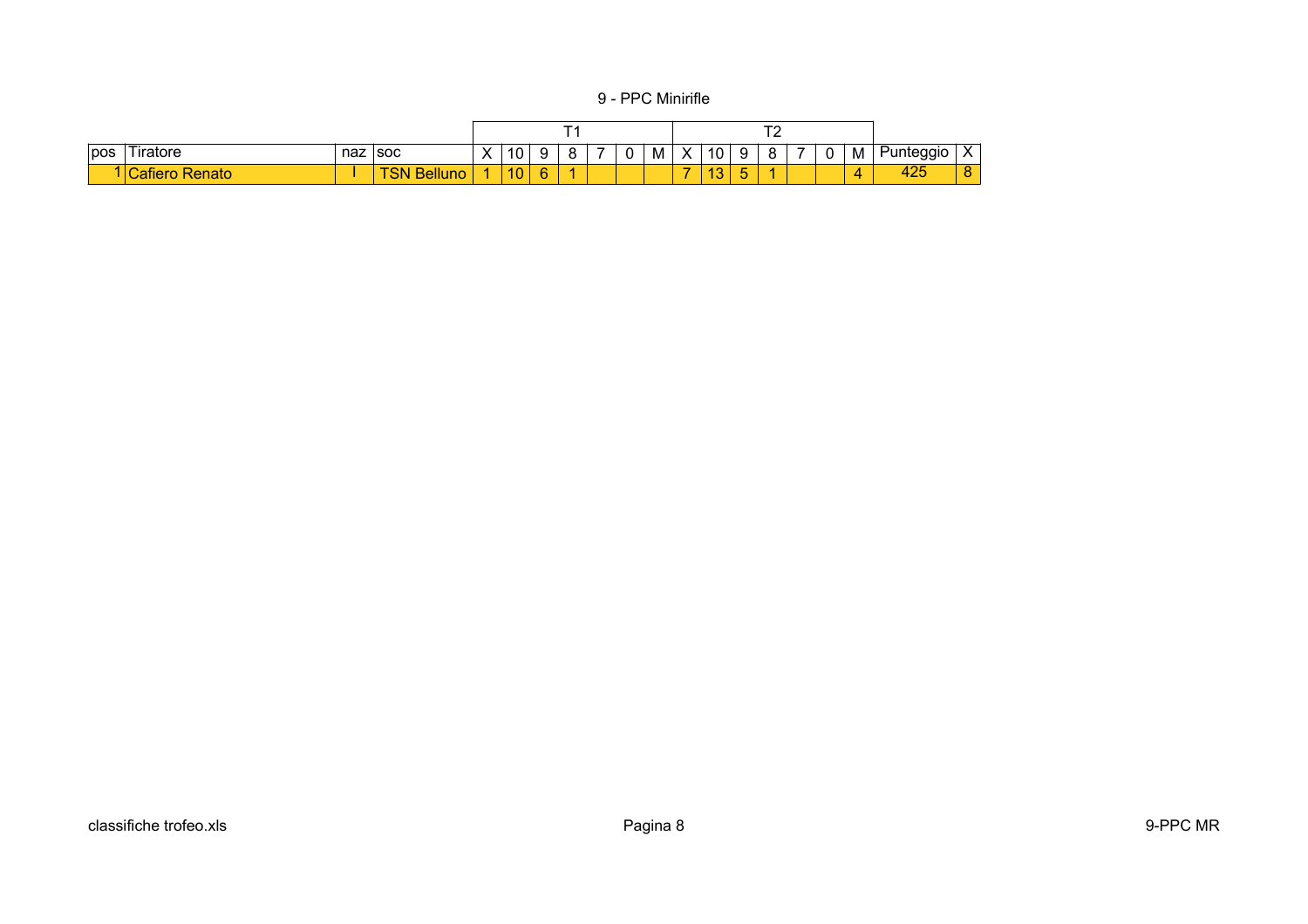9 - PPC Minirifle

|     |                  |     |                            |                                    |    |   |   |   |   |                   |                    |             | - |   |   |                   |                           |
|-----|------------------|-----|----------------------------|------------------------------------|----|---|---|---|---|-------------------|--------------------|-------------|---|---|---|-------------------|---------------------------|
| pos | 'Tiratore        | naz | <b>SOC</b>                 | $\checkmark$<br>$\mathbf{\Lambda}$ | 10 | ີ | я | υ | M | $\checkmark$<br>ᄉ | 10                 | 9           | O | 0 | M | 'unteggio<br>. ا  | $\mathbf{v}$<br>$\Lambda$ |
|     | lenato<br>:atıel |     | <b>Belluno</b><br>ŃΝ<br>-- |                                    | 10 | c |   |   |   | $\sim$            | $\sim$<br>. .<br>v | $\sim$<br>ັ |   |   |   | $\Omega$<br>-44 L | $\Omega$<br>O             |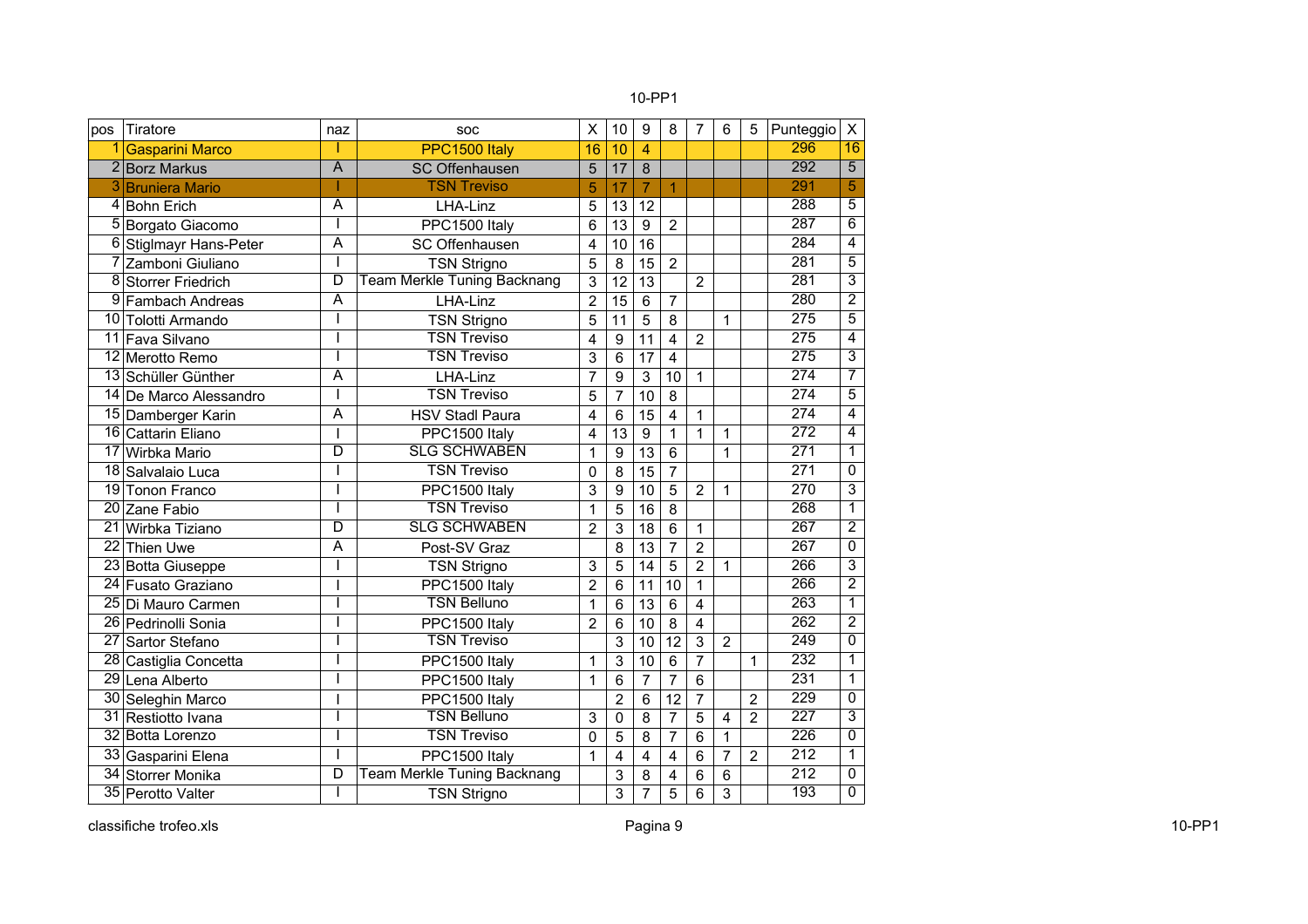#### 10-PP1

| pos             | Tiratore                    | naz                     | SOC                                | $\sf X$        | 10              | 9               | 8              | 7                       | 6              | 5              | Punteggio        | $\pmb{\times}$          |
|-----------------|-----------------------------|-------------------------|------------------------------------|----------------|-----------------|-----------------|----------------|-------------------------|----------------|----------------|------------------|-------------------------|
|                 | <b>Gasparini Marco</b>      |                         | PPC1500 Italy                      | 16             | 10              | 4               |                |                         |                |                | 296              | 16                      |
| $\overline{2}$  | <b>Borz Markus</b>          | $\overline{A}$          | <b>SC Offenhausen</b>              | 5              | 17              | 8               |                |                         |                |                | 292              | $\overline{5}$          |
| 3               | <b>Bruniera Mario</b>       |                         | <b>TSN Treviso</b>                 | 5              | 17              | $\overline{7}$  | $\overline{1}$ |                         |                |                | 291              | 5                       |
| 4               | <b>Bohn Erich</b>           | $\overline{A}$          | LHA-Linz                           | 5              | 13              | 12              |                |                         |                |                | 288              | 5                       |
| 5               | Borgato Giacomo             | I                       | PPC1500 Italy                      | 6              | 13              | $\overline{9}$  | $\overline{2}$ |                         |                |                | 287              | 6                       |
| 6               | <b>Stiglmayr Hans-Peter</b> | $\overline{A}$          | SC Offenhausen                     | 4              | 10              | 16              |                |                         |                |                | 284              | $\overline{4}$          |
| 7               | Zamboni Giuliano            | T                       | <b>TSN Strigno</b>                 | 5              | 8               | 15              | $\overline{2}$ |                         |                |                | 281              | $\overline{5}$          |
| 8               | <b>Storrer Friedrich</b>    | $\overline{\mathsf{D}}$ | <b>Team Merkle Tuning Backnang</b> | 3              | $\overline{12}$ | 13              |                | $\overline{2}$          |                |                | 281              | $\overline{3}$          |
| 9               | Fambach Andreas             | $\overline{A}$          | LHA-Linz                           | $\overline{2}$ | $\overline{15}$ | $6\phantom{1}$  | $\overline{7}$ |                         |                |                | 280              | $\overline{2}$          |
| 10              | Tolotti Armando             | I                       | <b>TSN Strigno</b>                 | 5              | 11              | $\overline{5}$  | 8              |                         | 1              |                | 275              | $\overline{5}$          |
| 11              | Fava Silvano                |                         | <b>TSN Treviso</b>                 | 4              | 9               | $\overline{11}$ | $\overline{4}$ | $\overline{2}$          |                |                | $\overline{275}$ | 4                       |
|                 | 12 Merotto Remo             | T                       | <b>TSN Treviso</b>                 | 3              | 6               | $\overline{17}$ | $\overline{4}$ |                         |                |                | 275              | $\overline{\mathbf{3}}$ |
|                 | 13 Schüller Günther         | A                       | LHA-Linz                           | $\overline{7}$ | 9               | 3               | 10             | 1                       |                |                | $\overline{274}$ | 7                       |
| 14              | De Marco Alessandro         | I                       | <b>TSN Treviso</b>                 | 5              | $\overline{7}$  | 10              | 8              |                         |                |                | $\overline{274}$ | $\overline{5}$          |
| 15              | Damberger Karin             | $\overline{\mathsf{A}}$ | <b>HSV Stadl Paura</b>             | 4              | 6               | 15              | 4              | 1                       |                |                | $\overline{274}$ | $\overline{\mathbf{4}}$ |
| $\overline{16}$ | <b>Cattarin Eliano</b>      | $\overline{1}$          | PPC1500 Italy                      | 4              | $\overline{13}$ | $\overline{9}$  | $\mathbf 1$    | $\overline{1}$          | 1              |                | $\overline{272}$ | $\overline{4}$          |
| $\overline{17}$ | Wirbka Mario                | $\overline{\mathsf{D}}$ | <b>SLG SCHWABEN</b>                | 1              | 9               | 13              | 6              |                         | 1              |                | $\overline{271}$ | 1                       |
| $\overline{18}$ | Salvalaio Luca              | I                       | <b>TSN Treviso</b>                 | 0              | 8               | $\overline{15}$ | $\overline{7}$ |                         |                |                | 271              | 0                       |
| $\overline{19}$ | <b>Tonon Franco</b>         | I                       | PPC1500 Italy                      | 3              | 9               | 10              | 5              | $\overline{2}$          | 1              |                | 270              | $\overline{3}$          |
| 20              | Zane Fabio                  |                         | <b>TSN Treviso</b>                 | $\mathbf 1$    | $\overline{5}$  | $\overline{16}$ | $\overline{8}$ |                         |                |                | 268              | 1                       |
| 21              | Wirbka Tiziano              | $\overline{\mathsf{D}}$ | <b>SLG SCHWABEN</b>                | $\overline{2}$ | 3               | 18              | 6              | 1                       |                |                | 267              | $\overline{2}$          |
| $\overline{22}$ | Thien Uwe                   | A                       | Post-SV Graz                       |                | 8               | 13              | $\overline{7}$ | $\overline{2}$          |                |                | 267              | 0                       |
| $\overline{23}$ | <b>Botta Giuseppe</b>       | T                       | <b>TSN Strigno</b>                 | 3              | 5               | 14              | 5              | $\overline{2}$          | 1              |                | 266              | $\overline{3}$          |
| 24              | Fusato Graziano             | $\overline{1}$          | PPC1500 Italy                      | $\overline{2}$ | 6               | 11              | 10             | 1                       |                |                | 266              | $\overline{2}$          |
| $\overline{25}$ | Di Mauro Carmen             |                         | <b>TSN Belluno</b>                 | 1              | 6               | 13              | 6              | $\overline{\mathbf{4}}$ |                |                | 263              | 1                       |
| 26              | Pedrinolli Sonia            |                         | PPC1500 Italy                      | $\overline{2}$ | 6               | 10              | 8              | 4                       |                |                | $\overline{262}$ | $\overline{2}$          |
| $\overline{27}$ | Sartor Stefano              | T                       | <b>TSN Treviso</b>                 |                | 3               | 10              | 12             | 3                       | $\overline{2}$ |                | 249              | $\overline{0}$          |
| $\overline{28}$ | Castiglia Concetta          | T                       | PPC1500 Italy                      | 1              | 3               | 10              | 6              | $\overline{7}$          |                | $\mathbf{1}$   | 232              | $\mathbf{1}$            |
|                 | 29 Lena Alberto             | I                       | PPC1500 Italy                      | 1              | 6               | $\overline{7}$  | $\overline{7}$ | 6                       |                |                | $\overline{231}$ | $\mathbf{1}$            |
| 30              | Seleghin Marco              | T                       | PPC1500 Italy                      |                | $\overline{2}$  | $6\phantom{1}$  | 12             | $\overline{7}$          |                | $\overline{2}$ | 229              | 0                       |
| 31              | Restiotto Ivana             |                         | <b>TSN Belluno</b>                 | 3              | $\mathbf 0$     | 8               | $\overline{7}$ | 5                       | 4              | $\overline{2}$ | 227              | $\overline{3}$          |
|                 | 32 Botta Lorenzo            | ı                       | <b>TSN Treviso</b>                 | 0              | 5               | 8               | $\overline{7}$ | 6                       | 1              |                | $\overline{226}$ | $\mathbf 0$             |
| $\overline{33}$ | Gasparini Elena             |                         | PPC1500 Italy                      | 1              | $\overline{4}$  | 4               | 4              | 6                       | $\overline{7}$ | $\overline{2}$ | 212              | $\mathbf{1}$            |
|                 | 34 Storrer Monika           | $\overline{\mathsf{D}}$ | <b>Team Merkle Tuning Backnang</b> |                | 3               | 8               | 4              | 6                       | 6              |                | $\overline{212}$ | 0                       |
|                 | 35 Perotto Valter           | L                       | <b>TSN Strigno</b>                 |                | 3               | $\overline{7}$  | 5              | 6                       | 3              |                | 193              | $\overline{0}$          |

classifiche trofeo.xls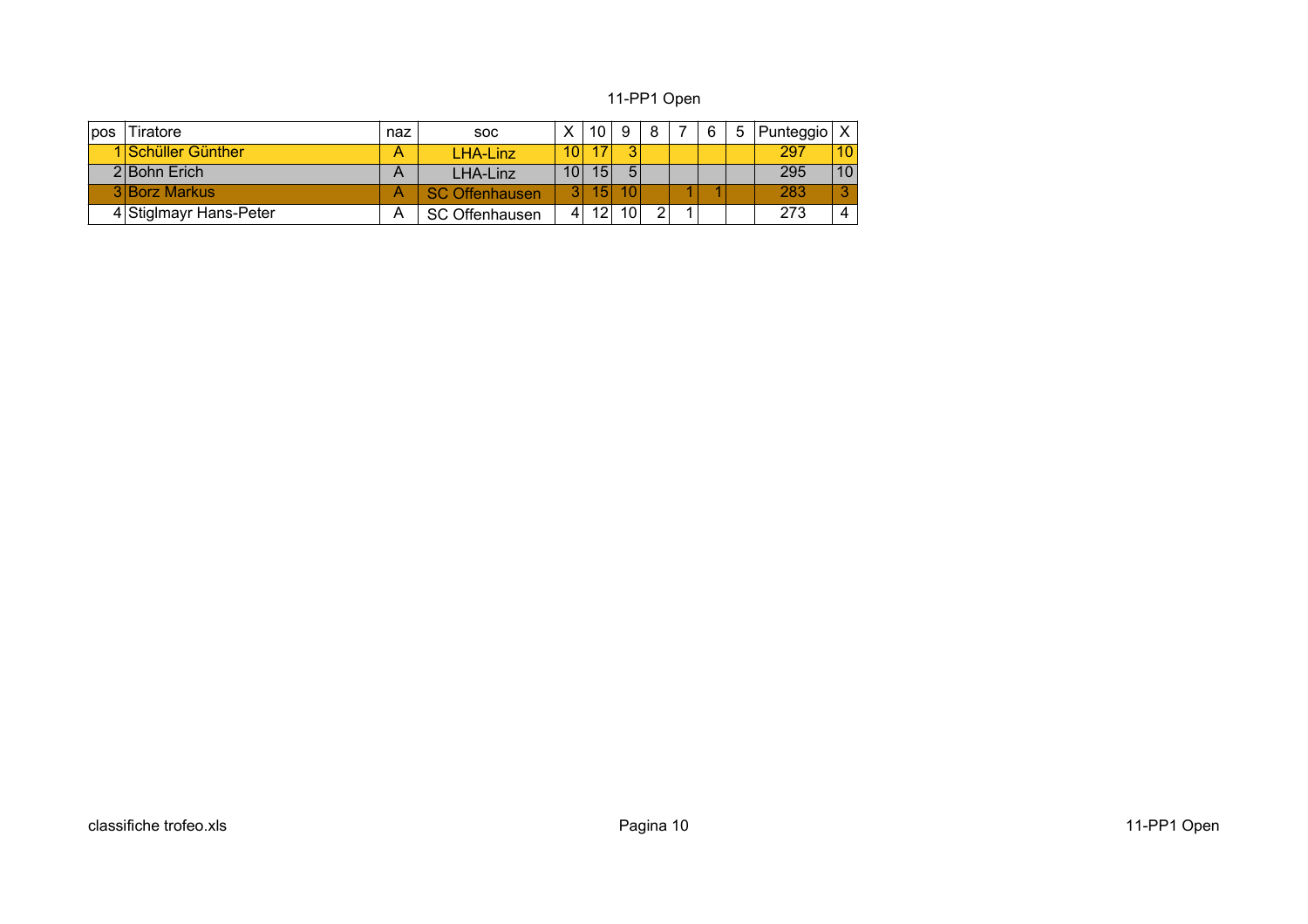### 11-PP1 Open

| pos | Tiratore               | naz | <b>SOC</b>            |                 | 10              |                 | 8 | 6 | Punteggio |    |
|-----|------------------------|-----|-----------------------|-----------------|-----------------|-----------------|---|---|-----------|----|
|     | 1 Schüller Günther     | Α   | LHA-Linz              | 10 <sup>1</sup> | 17              | ≘               |   |   | 297       | 10 |
|     | 2 Bohn Erich           | A   | LHA-Linz              | 10 <sup>1</sup> | 15 <sup>1</sup> | 5               |   |   | 295       | 10 |
|     | 3 Borz Markus          | Α   | <b>SC Offenhausen</b> | 2.              | 15 <sup>1</sup> |                 |   |   | 283       | 2  |
|     | 4 Stiglmayr Hans-Peter | A   | <b>SC Offenhausen</b> | 4               | 12              | 10 <sup>1</sup> |   |   | 273       | 4  |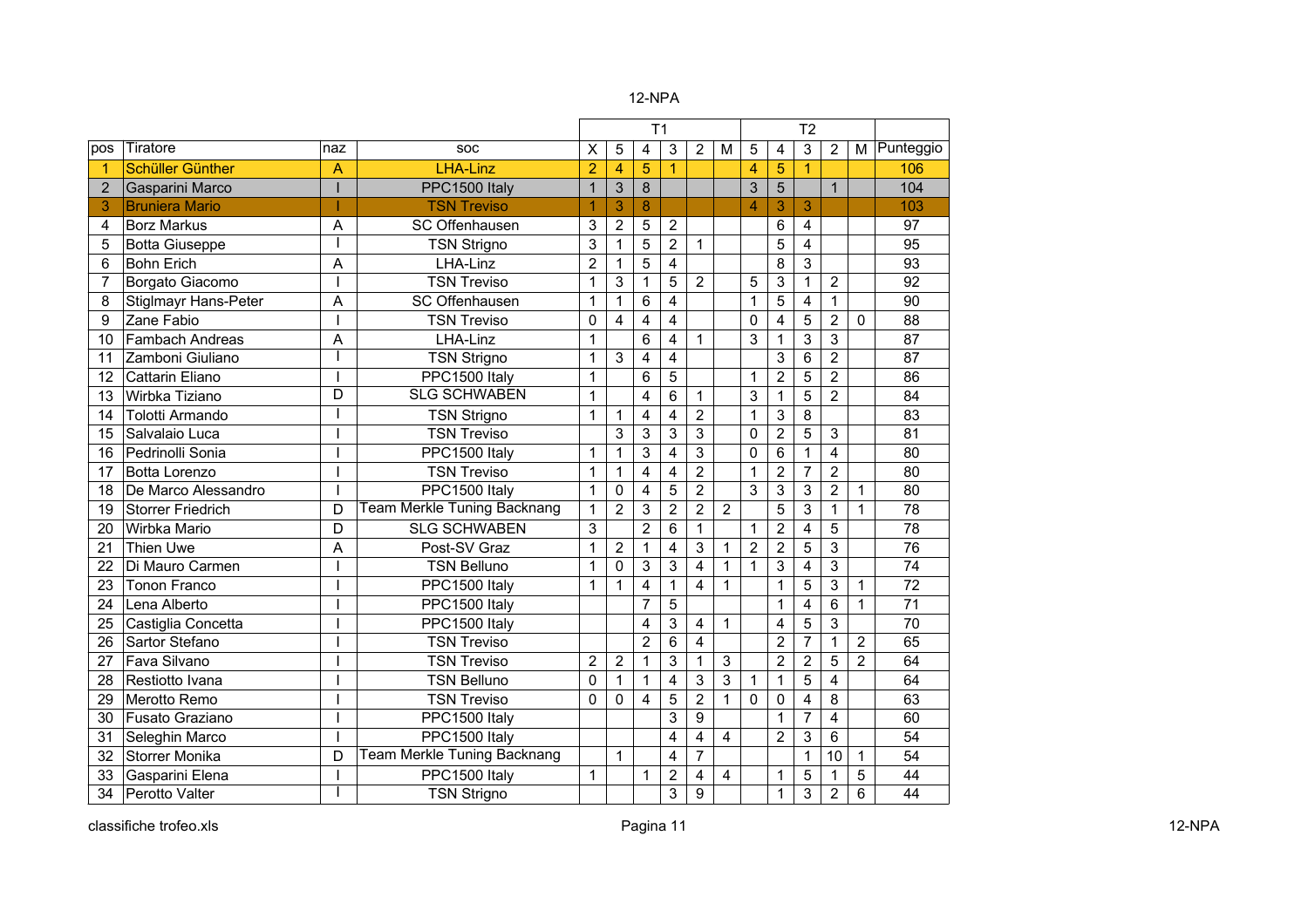|                |                             |                |                                    |                |                | T <sub>1</sub>          |                         |                |                |                |                | T <sub>2</sub> |                         |                |                 |
|----------------|-----------------------------|----------------|------------------------------------|----------------|----------------|-------------------------|-------------------------|----------------|----------------|----------------|----------------|----------------|-------------------------|----------------|-----------------|
| pos            | Tiratore                    | naz            | SOC                                | X              | 5              | 4                       | 3                       | $\overline{2}$ | M              | 5              | 4              | 3              | $\overline{2}$          | M              | Punteggio       |
|                | <b>Schüller Günther</b>     | A              | <b>LHA-Linz</b>                    | $\overline{2}$ | 4              | 5                       | 1                       |                |                | 4              | 5              | 1              |                         |                | 106             |
| $\overline{2}$ | Gasparini Marco             |                | PPC1500 Italy                      | $\mathbf{1}$   | 3              | 8                       |                         |                |                | 3              | 5              |                | $\mathbf{1}$            |                | 104             |
| 3              | <b>Bruniera Mario</b>       |                | <b>TSN Treviso</b>                 | 1              | 3              | 8                       |                         |                |                | $\overline{4}$ | 3              | 3              |                         |                | 103             |
| 4              | <b>Borz Markus</b>          | A              | SC Offenhausen                     | 3              | 2              | 5                       | $\overline{2}$          |                |                |                | 6              | 4              |                         |                | 97              |
| 5              | <b>Botta Giuseppe</b>       |                | <b>TSN Strigno</b>                 | 3              | 1              | 5                       | $\overline{2}$          | $\mathbf{1}$   |                |                | 5              | 4              |                         |                | 95              |
| 6              | <b>Bohn Erich</b>           | A              | LHA-Linz                           | $\overline{2}$ | 1              | 5                       | 4                       |                |                |                | 8              | 3              |                         |                | 93              |
| 7              | Borgato Giacomo             |                | <b>TSN Treviso</b>                 | $\mathbf 1$    | 3              | 1                       | 5                       | $\overline{2}$ |                | 5              | 3              | 1              | $\overline{2}$          |                | 92              |
| 8              | <b>Stiglmayr Hans-Peter</b> | A              | SC Offenhausen                     | $\mathbf{1}$   | 1              | 6                       | 4                       |                |                | 1              | 5              | 4              | $\mathbf{1}$            |                | 90              |
| 9              | Zane Fabio                  |                | <b>TSN Treviso</b>                 | $\mathbf 0$    | 4              | 4                       | 4                       |                |                | $\mathbf 0$    | 4              | 5              | $\overline{2}$          | $\mathbf 0$    | 88              |
| 10             | <b>Fambach Andreas</b>      | A              | LHA-Linz                           | 1              |                | 6                       | 4                       | 1              |                | $\overline{3}$ | 1              | 3              | 3                       |                | 87              |
| 11             | Zamboni Giuliano            |                | <b>TSN Strigno</b>                 | 1              | 3              | $\overline{\mathbf{4}}$ | 4                       |                |                |                | 3              | 6              | $\overline{2}$          |                | 87              |
| 12             | Cattarin Eliano             |                | PPC1500 Italy                      | 1              |                | 6                       | 5                       |                |                | $\mathbf{1}$   | $\overline{2}$ | $\overline{5}$ | $\overline{2}$          |                | 86              |
| 13             | Wirbka Tiziano              | D              | <b>SLG SCHWABEN</b>                | $\mathbf 1$    |                | 4                       | $6\phantom{1}$          | 1              |                | 3              | 1              | 5              | $\overline{2}$          |                | 84              |
| 14             | <b>Tolotti Armando</b>      |                | <b>TSN Strigno</b>                 | $\mathbf{1}$   | 1              | 4                       | $\overline{4}$          | $\overline{2}$ |                | $\mathbf{1}$   | 3              | 8              |                         |                | 83              |
| 15             | Salvalaio Luca              |                | <b>TSN Treviso</b>                 |                | 3              | 3                       | 3                       | 3              |                | $\mathbf 0$    | $\overline{2}$ | 5              | 3                       |                | 81              |
| 16             | Pedrinolli Sonia            |                | PPC1500 Italy                      | $\mathbf 1$    | 1              | 3                       | 4                       | 3              |                | 0              | 6              | 1              | 4                       |                | 80              |
| 17             | Botta Lorenzo               |                | <b>TSN Treviso</b>                 | $\mathbf{1}$   | 1              | 4                       | $\overline{4}$          | $\overline{2}$ |                | $\mathbf{1}$   | $\overline{2}$ | $\overline{7}$ | $\overline{2}$          |                | 80              |
| 18             | De Marco Alessandro         |                | PPC1500 Italy                      | $\mathbf 1$    | 0              | 4                       | 5                       | $\overline{2}$ |                | 3              | 3              | 3              | $\overline{2}$          | 1              | 80              |
| 19             | <b>Storrer Friedrich</b>    | D              | <b>Team Merkle Tuning Backnang</b> | $\mathbf{1}$   | $\overline{2}$ | 3                       | $\overline{2}$          | $\overline{2}$ | $\overline{2}$ |                | 5              | 3              | $\mathbf{1}$            | 1              | 78              |
| 20             | Wirbka Mario                | D              | <b>SLG SCHWABEN</b>                | 3              |                | $\overline{2}$          | 6                       | $\mathbf{1}$   |                | $\mathbf{1}$   | $\overline{2}$ | 4              | 5                       |                | 78              |
| 21             | <b>Thien Uwe</b>            | A              | Post-SV Graz                       | 1              | 2              | 1                       | 4                       | 3              | 1              | $\overline{2}$ | $\overline{2}$ | 5              | 3                       |                | 76              |
| 22             | Di Mauro Carmen             |                | <b>TSN Belluno</b>                 | $\mathbf 1$    | 0              | 3                       | 3                       | $\overline{4}$ | 1              | 1              | 3              | 4              | 3                       |                | 74              |
| 23             | <b>Tonon Franco</b>         |                | PPC1500 Italy                      | $\mathbf 1$    | 1              | 4                       | $\mathbf 1$             | 4              | $\mathbf{1}$   |                | $\mathbf 1$    | 5              | 3                       | 1              | 72              |
| 24             | Lena Alberto                |                | PPC1500 Italy                      |                |                | $\overline{7}$          | 5                       |                |                |                | $\mathbf 1$    | 4              | 6                       | 1              | $\overline{71}$ |
| 25             | Castiglia Concetta          |                | PPC1500 Italy                      |                |                | 4                       | 3                       | 4              | 1              |                | 4              | 5              | 3                       |                | 70              |
| 26             | Sartor Stefano              |                | <b>TSN Treviso</b>                 |                |                | $\overline{2}$          | 6                       | $\overline{4}$ |                |                | $\overline{2}$ | $\overline{7}$ | $\mathbf{1}$            | $\overline{2}$ | 65              |
| 27             | Fava Silvano                |                | <b>TSN Treviso</b>                 | $\overline{2}$ | $\overline{2}$ | $\mathbf{1}$            | 3                       | $\mathbf{1}$   | 3              |                | $\overline{2}$ | $\overline{c}$ | 5                       | $\overline{2}$ | 64              |
| 28             | Restiotto Ivana             |                | <b>TSN Belluno</b>                 | $\mathbf 0$    | $\mathbf 1$    | $\mathbf{1}$            | $\overline{\mathbf{4}}$ | 3              | 3              | $\mathbf{1}$   | $\overline{1}$ | 5              | $\overline{\mathbf{4}}$ |                | 64              |
| 29             | Merotto Remo                |                | <b>TSN Treviso</b>                 | $\Omega$       | 0              | 4                       | 5                       | $\overline{2}$ | $\mathbf{1}$   | $\mathbf{0}$   | 0              | 4              | 8                       |                | 63              |
| 30             | Fusato Graziano             |                | PPC1500 Italy                      |                |                |                         | 3                       | 9              |                |                | 1              | $\overline{7}$ | $\overline{4}$          |                | 60              |
| 31             | Seleghin Marco              | $\blacksquare$ | PPC1500 Italy                      |                |                |                         | 4                       | $\overline{4}$ | 4              |                | 2              | 3              | 6                       |                | 54              |
| 32             | Storrer Monika              | D              | <b>Team Merkle Tuning Backnang</b> |                | 1              |                         | 4                       | $\overline{7}$ |                |                |                | 1              | 10                      | 1              | 54              |
| 33             | Gasparini Elena             |                | PPC1500 Italy                      | $\mathbf 1$    |                | 1                       | $\overline{2}$          | 4              | 4              |                | 1              | 5              | $\mathbf{1}$            | 5              | 44              |
| 34             | Perotto Valter              |                | <b>TSN Strigno</b>                 |                |                |                         | 3                       | 9              |                |                | 1              | 3              | $\overline{2}$          | 6              | 44              |

classifiche trofeo.xls